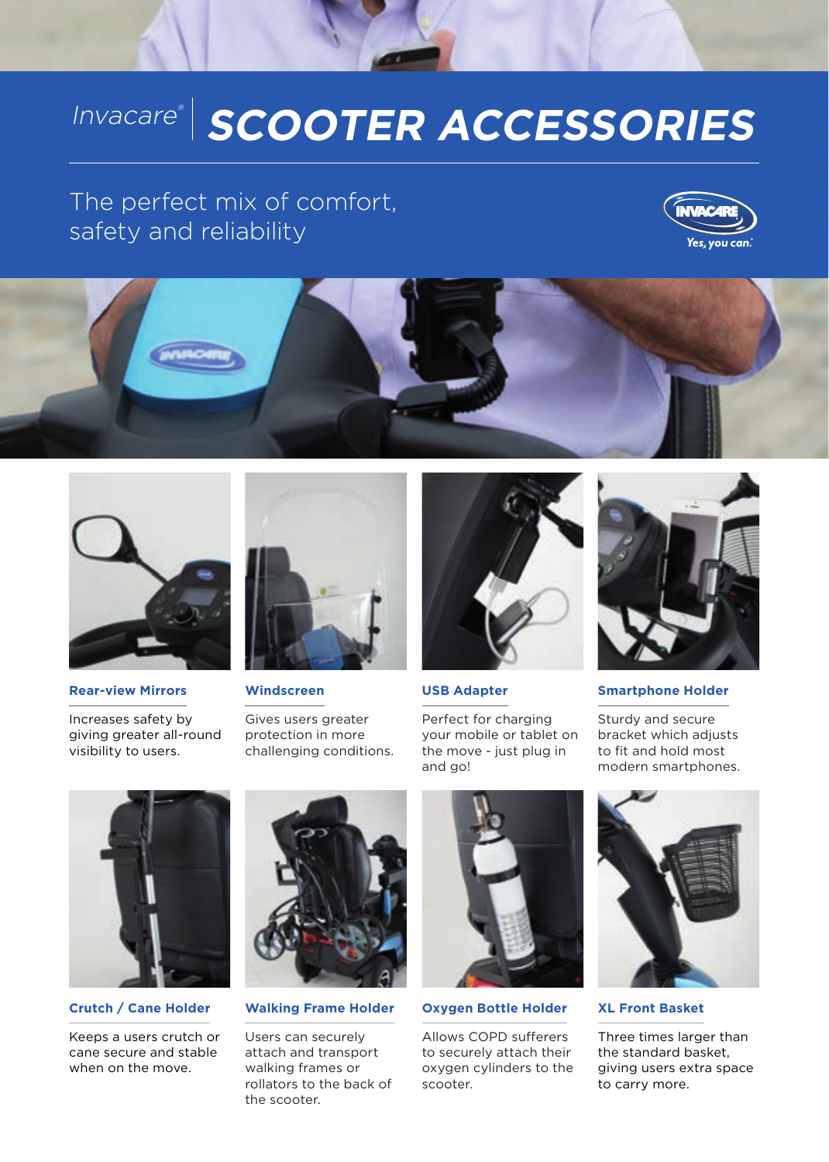# Invacare®  **SCOOTER ACCESSORIES**

# The perfect mix of comfort, safety and reliability







**Rear-view Mirrors**

Increases safety by giving greater all-round visibility to users.



**Windscreen**

Gives users greater protection in more challenging conditions.



**USB Adapter**

Perfect for charging your mobile or tablet on the move - just plug in and go!



**Smartphone Holder**

Sturdy and secure bracket which adjusts to fit and hold most modern smartphones.



**Crutch / Cane Holder**

Keeps a users crutch or cane secure and stable when on the move.



**Walking Frame Holder**

Users can securely attach and transport walking frames or rollators to the back of the scooter.



**Oxygen Bottle Holder**

Allows COPD sufferers to securely attach their oxygen cylinders to the scooter.



**XL Front Basket**

Three times larger than the standard basket, giving users extra space to carry more.